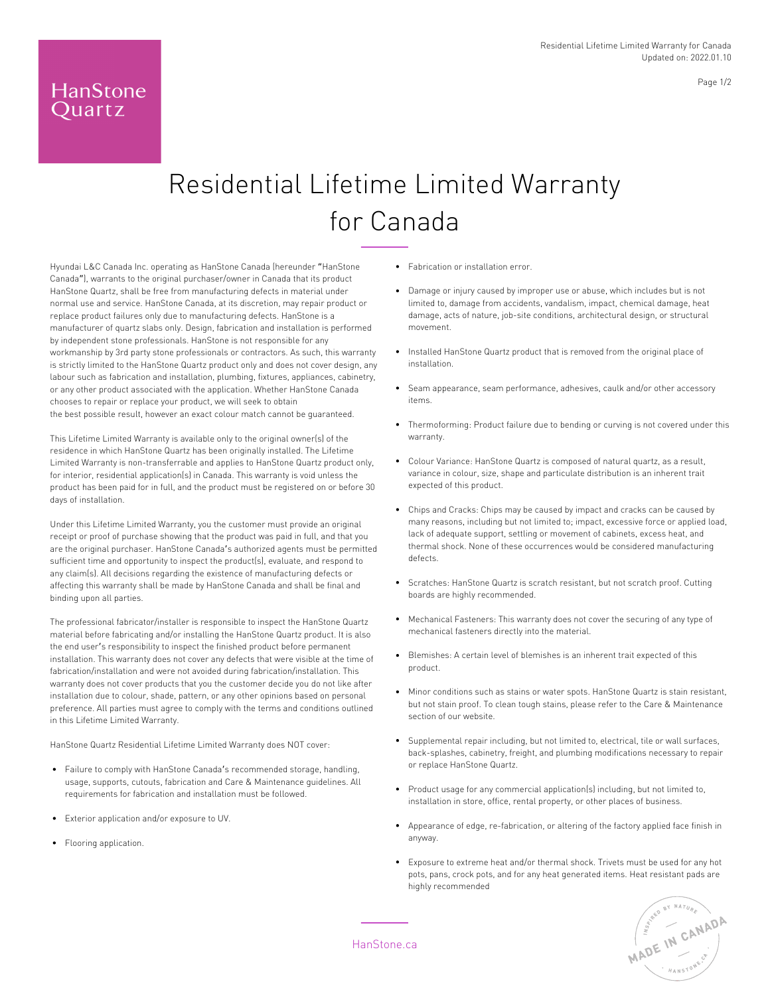## Residential Lifetime Limited Warranty for Canada

Hyundai L&C Canada Inc. operating as HanStone Canada (hereunder "HanStone Canada"), warrants to the original purchaser/owner in Canada that its product HanStone Quartz, shall be free from manufacturing defects in material under normal use and service. HanStone Canada, at its discretion, may repair product or replace product failures only due to manufacturing defects. HanStone is a manufacturer of quartz slabs only. Design, fabrication and installation is performed by independent stone professionals. HanStone is not responsible for any workmanship by 3rd party stone professionals or contractors. As such, this warranty is strictly limited to the HanStone Quartz product only and does not cover design, any labour such as fabrication and installation, plumbing, fixtures, appliances, cabinetry, or any other product associated with the application. Whether HanStone Canada chooses to repair or replace your product, we will seek to obtain the best possible result, however an exact colour match cannot be guaranteed.

This Lifetime Limited Warranty is available only to the original owner(s) of the residence in which HanStone Quartz has been originally installed. The Lifetime Limited Warranty is non-transferrable and applies to HanStone Quartz product only, for interior, residential application(s) in Canada. This warranty is void unless the product has been paid for in full, and the product must be registered on or before 30 days of installation.

Under this Lifetime Limited Warranty, you the customer must provide an original receipt or proof of purchase showing that the product was paid in full, and that you are the original purchaser. HanStone Canada's authorized agents must be permitted sufficient time and opportunity to inspect the product(s), evaluate, and respond to any claim(s). All decisions regarding the existence of manufacturing defects or affecting this warranty shall be made by HanStone Canada and shall be final and binding upon all parties.

The professional fabricator/installer is responsible to inspect the HanStone Quartz material before fabricating and/or installing the HanStone Quartz product. It is also the end user's responsibility to inspect the finished product before permanent installation. This warranty does not cover any defects that were visible at the time of fabrication/installation and were not avoided during fabrication/installation. This warranty does not cover products that you the customer decide you do not like after installation due to colour, shade, pattern, or any other opinions based on personal preference. All parties must agree to comply with the terms and conditions outlined in this Lifetime Limited Warranty.

HanStone Quartz Residential Lifetime Limited Warranty does NOT cover:

- Failure to comply with HanStone Canada's recommended storage, handling, usage, supports, cutouts, fabrication and Care & Maintenance guidelines. All requirements for fabrication and installation must be followed.
- Exterior application and/or exposure to UV.
- Flooring application.

HanStone Quartz

**•** Fabrication or installation error.

- Damage or injury caused by improper use or abuse, which includes but is not limited to, damage from accidents, vandalism, impact, chemical damage, heat damage, acts of nature, job-site conditions, architectural design, or structural movement.
- Installed HanStone Quartz product that is removed from the original place of installation.
- Seam appearance, seam performance, adhesives, caulk and/or other accessory items.
- Thermoforming: Product failure due to bending or curving is not covered under this warranty.
- Colour Variance: HanStone Quartz is composed of natural quartz, as a result, variance in colour, size, shape and particulate distribution is an inherent trait expected of this product.
- Chips and Cracks: Chips may be caused by impact and cracks can be caused by many reasons, including but not limited to; impact, excessive force or applied load, lack of adequate support, settling or movement of cabinets, excess heat, and thermal shock. None of these occurrences would be considered manufacturing defects.
- Scratches: HanStone Quartz is scratch resistant, but not scratch proof. Cutting boards are highly recommended.
- Mechanical Fasteners: This warranty does not cover the securing of any type of mechanical fasteners directly into the material.
- Blemishes: A certain level of blemishes is an inherent trait expected of this product.
- Minor conditions such as stains or water spots. HanStone Quartz is stain resistant, but not stain proof. To clean tough stains, please refer to the Care & Maintenance section of our website.
- Supplemental repair including, but not limited to, electrical, tile or wall surfaces, back-splashes, cabinetry, freight, and plumbing modifications necessary to repair or replace HanStone Quartz.
- Product usage for any commercial application(s) including, but not limited to, installation in store, office, rental property, or other places of business.
- Appearance of edge, re-fabrication, or altering of the factory applied face finish in anyway.
- Exposure to extreme heat and/or thermal shock. Trivets must be used for any hot pots, pans, crock pots, and for any heat generated items. Heat resistant pads are highly recommended



HanStone.ca